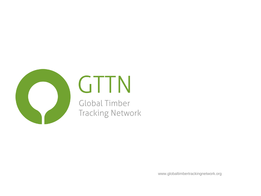

# GTTN

Global Timber **Tracking Network** 

www.globaltimbertrackingnetwork.org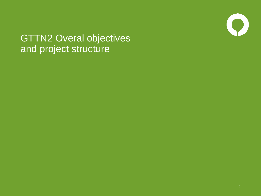

#### GTTN2 Overal objectives and project structure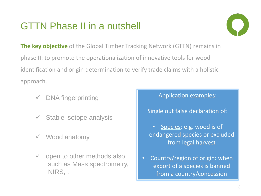## GTTN Phase II in a nutshell



**The key objective** of the Global Timber Tracking Network (GTTN) remains in phase II: to promote the operationalization of innovative tools for wood identification and origin determination to verify trade claims with a holistic approach.

- DNA fingerprinting
- $\checkmark$  Stable isotope analysis
- $\checkmark$  Wood anatomy
- $\checkmark$  open to other methods also such as Mass spectrometry, NIRS, ..

#### Application examples:

#### Single out false declaration of:

- Species: e.g. wood is of endangered species or excluded from legal harvest
- Country/region of origin: when export of a species is banned from a country/concession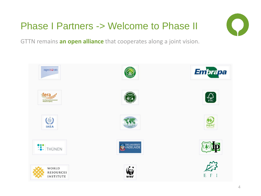## Phase I Partners -> Welcome to Phase II



GTTN remains **an open alliance** that cooperates along a joint vision.

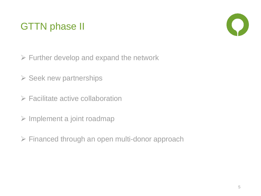## GTTN phase II



- $\triangleright$  Further develop and expand the network
- $\triangleright$  Seek new partnerships
- $\triangleright$  Facilitate active collaboration
- $\triangleright$  Implement a joint roadmap
- Financed through an open multi-donor approach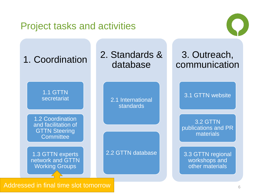#### Project tasks and activities





Addressed in final time slot tomorrow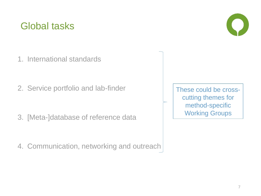#### Global tasks

1. International standards

2. Service portfolio and lab-finder

3. [Meta-]database of reference data

4. Communication, networking and outreach



These could be crosscutting themes for method-specific Working Groups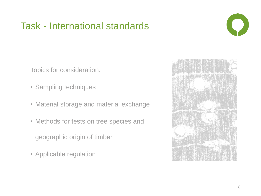#### Task - International standards



Topics for consideration:

- Sampling techniques
- Material storage and material exchange
- Methods for tests on tree species and

geographic origin of timber

• Applicable regulation

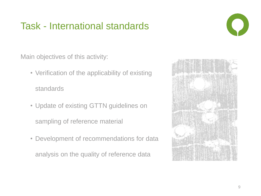## Task - International standards

Main objectives of this activity:

• Verification of the applicability of existing

standards

- Update of existing GTTN guidelines on sampling of reference material
- Development of recommendations for data

analysis on the quality of reference data

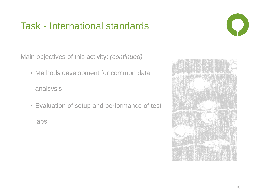## Task - International standards

Main objectives of this activity: *(continued)*

- Methods development for common data analsysis
- Evaluation of setup and performance of test

labs



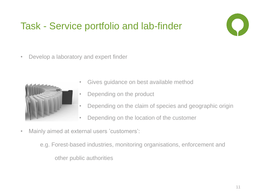# Task - Service portfolio and lab-finder



• Develop a laboratory and expert finder



- Gives guidance on best available method
- Depending on the product
- Depending on the claim of species and geographic origin
- Depending on the location of the customer
- Mainly aimed at external users 'customers':

e.g. Forest-based industries, monitoring organisations, enforcement and other public authorities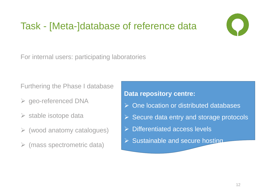## Task - [Meta-]database of reference data



For internal users: participating laboratories

Furthering the Phase I database

- geo-referenced DNA
- $\triangleright$  stable isotope data
- $\triangleright$  (wood anatomy catalogues)
- $\triangleright$  (mass spectrometric data)

**Data repository centre:**

- **▶ One location or distributed databases**
- $\triangleright$  Secure data entry and storage protocols
- $\triangleright$  Differentiated access levels
- $\triangleright$  Sustainable and secure hosting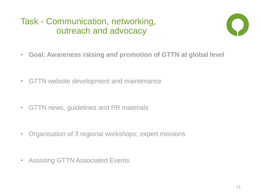#### Task - Communication, networking, outreach and advocacy



- **Goal: Awareness raising and promotion of GTTN at global level**
- GTTN website development and maintenance
- GTTN news, guidelines and PR materials
- Organisation of 3 regional workshops; expert missions
- Assisting GTTN Associated Events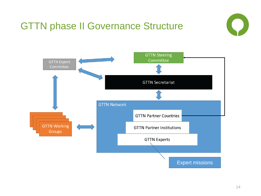# GTTN phase II Governance Structure



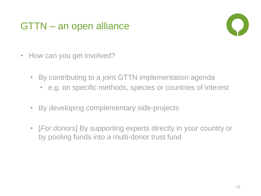### GTTN – an open alliance



- How can you get involved?
	- By contributing to a joint GTTN implementation agenda
		- e.g. on specific methods, species or countries of interest
	- By developing complementary side-projects
	- [*For donors*] By supporting experts directly in your country or by pooling funds into a multi-donor trust fund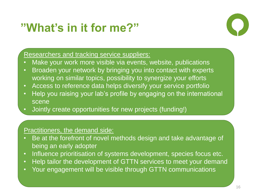# **"What's in it for me?"**



#### Researchers and tracking service suppliers:

- Make your work more visible via events, website, publications
- Broaden your network by bringing you into contact with experts working on similar topics, possibility to synergize your efforts
- Access to reference data helps diversify your service portfolio
- Help you raising your lab's profile by engaging on the international scene
- Jointly create opportunities for new projects (funding!)

#### Practitioners, the demand side:

- Be at the forefront of novel methods design and take advantage of being an early adopter
- Influence prioritisation of systems development, species focus etc.
- Help tailor the development of GTTN services to meet your demand
- Your engagement will be visible through GTTN communications